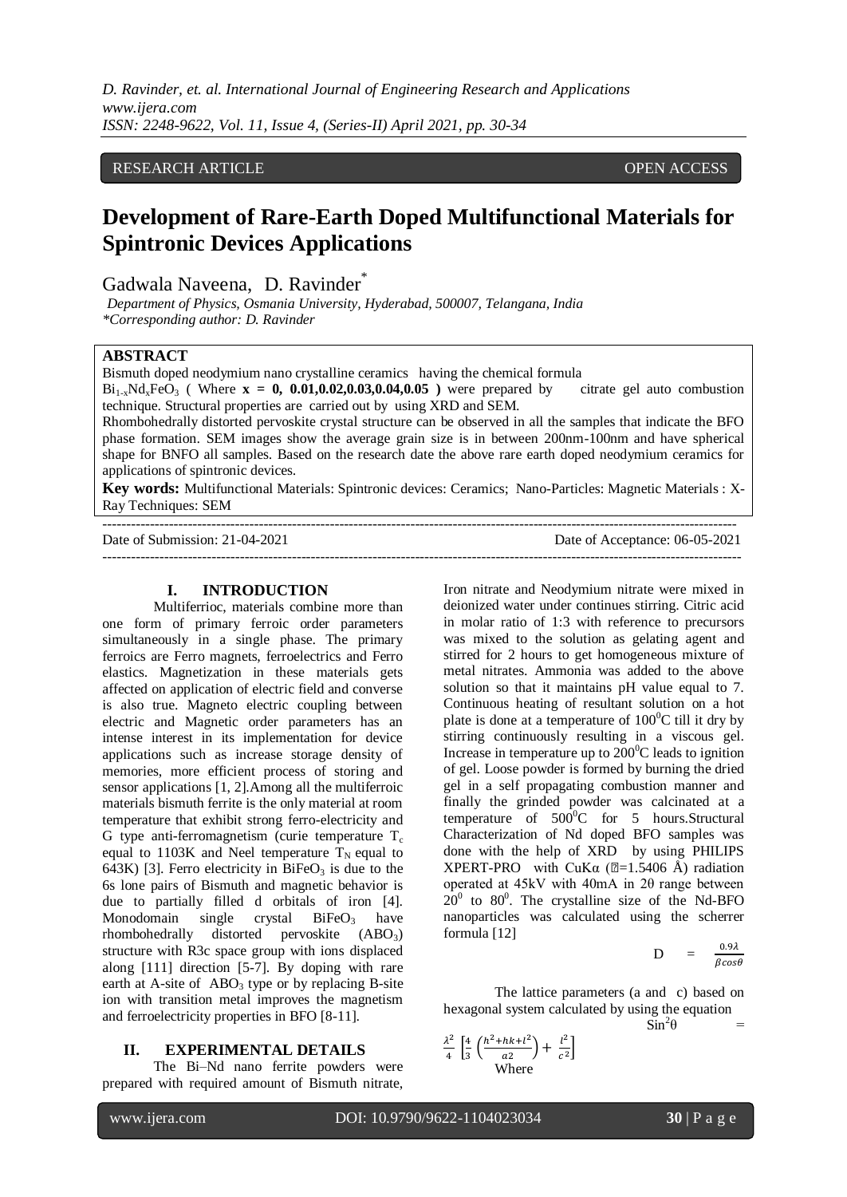*D. Ravinder, et. al. International Journal of Engineering Research and Applications www.ijera.com ISSN: 2248-9622, Vol. 11, Issue 4, (Series-II) April 2021, pp. 30-34*

## RESEARCH ARTICLE **OPEN ACCESS**

# **Development of Rare-Earth Doped Multifunctional Materials for Spintronic Devices Applications**

Gadwala Naveena, D. Ravinder<sup>\*</sup>

 *Department of Physics, Osmania University, Hyderabad, 500007, Telangana, India \*Corresponding author: D. Ravinder*

### **ABSTRACT**

Bismuth doped neodymium nano crystalline ceramics having the chemical formula

 $Bi_{1x}Nd_{x}FeO_{3}$  (Where  $\mathbf{x} = 0$ , 0.01,0.02,0.03,0.04,0.05) were prepared by citrate gel auto combustion technique. Structural properties are carried out by using XRD and SEM.

Rhombohedrally distorted pervoskite crystal structure can be observed in all the samples that indicate the BFO phase formation. SEM images show the average grain size is in between 200nm-100nm and have spherical shape for BNFO all samples. Based on the research date the above rare earth doped neodymium ceramics for applications of spintronic devices.

**Key words:** Multifunctional Materials: Spintronic devices: Ceramics; Nano-Particles: Magnetic Materials : X-Ray Techniques: SEM

Date of Submission: 21-04-2021 Date of Acceptance: 06-05-2021

---------------------------------------------------------------------------------------------------------------------------------------

--------------------------------------------------------------------------------------------------------------------------------------

#### **I. INTRODUCTION**

Multiferrioc, materials combine more than one form of primary ferroic order parameters simultaneously in a single phase. The primary ferroics are Ferro magnets, ferroelectrics and Ferro elastics. Magnetization in these materials gets affected on application of electric field and converse is also true. Magneto electric coupling between electric and Magnetic order parameters has an intense interest in its implementation for device applications such as increase storage density of memories, more efficient process of storing and sensor applications [1, 2].Among all the multiferroic materials bismuth ferrite is the only material at room temperature that exhibit strong ferro-electricity and G type anti-ferromagnetism (curie temperature  $T_c$ ) equal to 1103K and Neel temperature  $T_N$  equal to 643K) [3]. Ferro electricity in  $BiFeO<sub>3</sub>$  is due to the 6s lone pairs of Bismuth and magnetic behavior is due to partially filled d orbitals of iron [4].<br>Monodomain single crystal  $BiFeO<sub>3</sub>$  have Monodomain single crystal  $BiFeO<sub>3</sub>$  have rhombohedrally distorted pervoskite (ABO3) structure with R3c space group with ions displaced along [111] direction [5-7]. By doping with rare earth at A-site of  $ABO<sub>3</sub>$  type or by replacing B-site ion with transition metal improves the magnetism and ferroelectricity properties in BFO [8-11].

#### **II. EXPERIMENTAL DETAILS**

The Bi–Nd nano ferrite powders were prepared with required amount of Bismuth nitrate, Iron nitrate and Neodymium nitrate were mixed in deionized water under continues stirring. Citric acid in molar ratio of 1:3 with reference to precursors was mixed to the solution as gelating agent and stirred for 2 hours to get homogeneous mixture of metal nitrates. Ammonia was added to the above solution so that it maintains pH value equal to 7. Continuous heating of resultant solution on a hot plate is done at a temperature of  $100^{\circ}$ C till it dry by stirring continuously resulting in a viscous gel. Increase in temperature up to  $200^{\circ}$ C leads to ignition of gel. Loose powder is formed by burning the dried gel in a self propagating combustion manner and finally the grinded powder was calcinated at a temperature of  $500^{\circ}$ C for 5 hours. Structural Characterization of Nd doped BFO samples was done with the help of XRD by using PHILIPS XPERT-PRO with CuK $\alpha$  (2=1.5406 Å) radiation operated at 45kV with 40mA in 2θ range between  $20^0$  to 80<sup>0</sup>. The crystalline size of the Nd-BFO nanoparticles was calculated using the scherrer formula [12]

$$
D = \frac{0.9\lambda}{\beta cos \theta}
$$

The lattice parameters (a and c) based on hexagonal system calculated by using the equation  $\sin^2$  $\sin^2\theta$ 

$$
\frac{\lambda^2}{4} \left[ \frac{4}{3} \left( \frac{h^2 + hk + l^2}{a^2} \right) + \frac{l^2}{c^2} \right]
$$
  
Where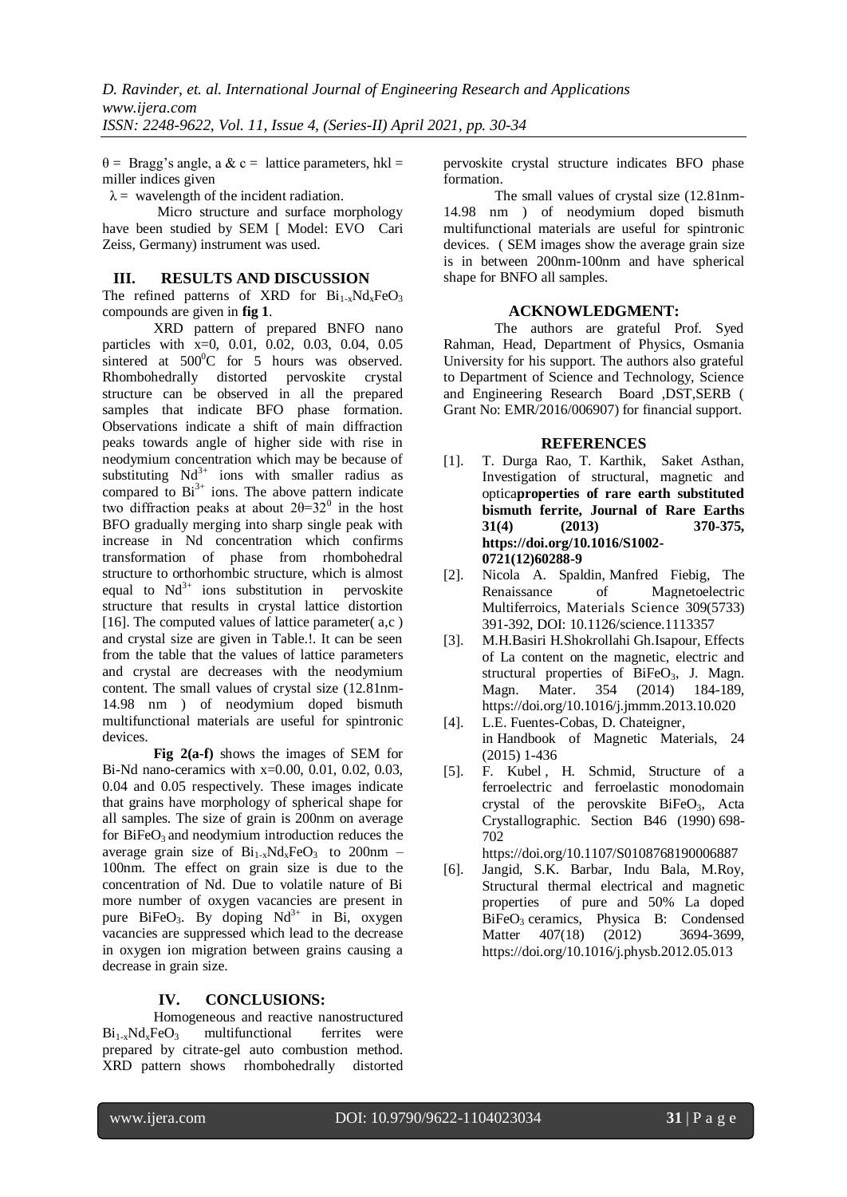$\theta$  = Bragg's angle, a & c = lattice parameters, hkl = miller indices given

 $\lambda$  = wavelength of the incident radiation.

Micro structure and surface morphology have been studied by SEM [ Model: EVO Cari Zeiss, Germany) instrument was used.

#### **III. RESULTS AND DISCUSSION**

The refined patterns of XRD for  $Bi_{1-x}Nd_xFeO_3$ compounds are given in **fig 1**.

XRD pattern of prepared BNFO nano particles with x=0, 0.01, 0.02, 0.03, 0.04, 0.05 sintered at  $500^{\circ}$ C for 5 hours was observed. Rhombohedrally distorted pervoskite crystal structure can be observed in all the prepared samples that indicate BFO phase formation. Observations indicate a shift of main diffraction peaks towards angle of higher side with rise in neodymium concentration which may be because of substituting  $Nd^{3+}$  ions with smaller radius as compared to  $Bi^{3+}$  ions. The above pattern indicate two diffraction peaks at about  $2\theta = 32^0$  in the host BFO gradually merging into sharp single peak with increase in Nd concentration which confirms transformation of phase from rhombohedral structure to orthorhombic structure, which is almost equal to  $Nd^{3+}$  ions substitution in pervoskite structure that results in crystal lattice distortion [16]. The computed values of lattice parameter $(a, c)$ and crystal size are given in Table.!. It can be seen from the table that the values of lattice parameters and crystal are decreases with the neodymium content. The small values of crystal size (12.81nm-14.98 nm ) of neodymium doped bismuth multifunctional materials are useful for spintronic devices.

**Fig 2(a-f)** shows the images of SEM for Bi-Nd nano-ceramics with x=0.00, 0.01, 0.02, 0.03, 0.04 and 0.05 respectively. These images indicate that grains have morphology of spherical shape for all samples. The size of grain is 200nm on average for  $BiFeO<sub>3</sub>$  and neodymium introduction reduces the average grain size of  $Bi_{1-x}Nd_xFeO_3$  to 200nm – 100nm. The effect on grain size is due to the concentration of Nd. Due to volatile nature of Bi more number of oxygen vacancies are present in pure BiFeO<sub>3</sub>. By doping  $Nd^{3+}$  in Bi, oxygen vacancies are suppressed which lead to the decrease in oxygen ion migration between grains causing a decrease in grain size.

### **IV. CONCLUSIONS:**

Homogeneous and reactive nanostructured  $Bi_{1-x}Nd_xFeO_3$  multifunctional ferrites were prepared by citrate-gel auto combustion method. XRD pattern shows rhombohedrally distorted pervoskite crystal structure indicates BFO phase formation.

The small values of crystal size (12.81nm-14.98 nm ) of neodymium doped bismuth multifunctional materials are useful for spintronic devices. ( SEM images show the average grain size is in between 200nm-100nm and have spherical shape for BNFO all samples.

#### **ACKNOWLEDGMENT:**

The authors are grateful Prof. Syed Rahman, Head, Department of Physics, Osmania University for his support. The authors also grateful to Department of Science and Technology, Science and Engineering Research Board ,DST,SERB ( Grant No: EMR/2016/006907) for financial support.

#### **REFERENCES**

- [1]. T. Durga Rao, T. Karthik, Saket Asthan, Investigation of structural, magnetic and optica**properties of rare earth substituted bismuth ferrite, [Journal of Rare Earths](https://www.sciencedirect.com/science/journal/10020721) [31\(4\)](file:///C:/Users/hp/Downloads/31(4) (2013) 370-375, https://doi.org/10.1016/S1002- 0721(12)60288-9**
- [2]. Nicola A. Spaldin, Manfred Fiebig, The Renaissance of Magnetoelectric Multiferroics, Materials Science 309(5733) 391-392, DOI: 10.1126/science.1113357
- [3]. [M.H.Basiri](https://www.sciencedirect.com/science/article/abs/pii/S0304885313007518#!) [H.Shokrollahi](https://www.sciencedirect.com/science/article/abs/pii/S0304885313007518#!) [Gh.Isapour,](https://www.sciencedirect.com/science/article/abs/pii/S0304885313007518#!) Effects of La content on the magnetic, electric and structural properties of  $BiFeO<sub>3</sub>$ , J. Magn. Magn. Mater. [354](file:///C:/Users/hp/Downloads/354) (2014) 184-189, <https://doi.org/10.1016/j.jmmm.2013.10.020>
- [4]. L.E. Fuentes-Cobas, D. Chateigner, in [Handbook of Magnetic Materials,](https://www.sciencedirect.com/science/handbooks/15672719) 24 (2015) 1-436
- [5]. [F. Kubel](https://onlinelibrary.wiley.com/action/doSearch?ContribAuthorStored=Kubel%2C+F) , [H. Schmid,](https://onlinelibrary.wiley.com/action/doSearch?ContribAuthorStored=Schmid%2C+H) Structure of a ferroelectric and ferroelastic monodomain crystal of the perovskite BiFeO<sub>3</sub>, Acta Crystallographic. Section B46 (1990) 698- 702

<https://doi.org/10.1107/S0108768190006887>

[6]. Jangid, S.K. Barbar, Indu Bala, M.Roy, Structural thermal electrical and magnetic properties of pure and 50% La doped BiFeO<sub>3</sub> ceramics, Physica B: Condensed<br>Matter  $407(18)$   $(2012)$   $3694-3699$ , [Matter](https://www.sciencedirect.com/science/journal/09214526) [407\(18\)](file:///C:/Users/hp/Downloads/407(18) (2012) 3694-3699, <https://doi.org/10.1016/j.physb.2012.05.013>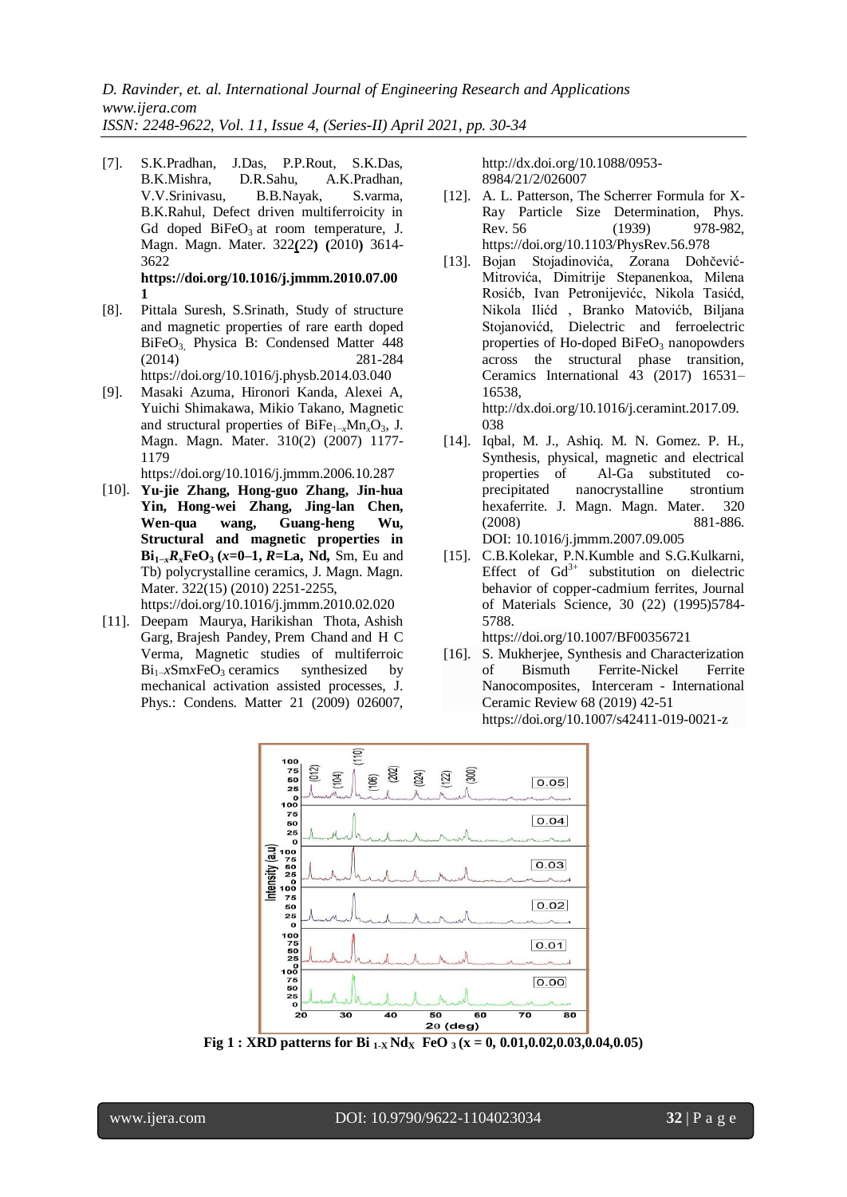[7]. S.K.Pradhan, J.Das, P.P.Rout, S.K.Das, B.K.Mishra, D.R.Sahu, A.K.Pradhan, V.V.Srinivasu, B.B.Nayak, S.varma, B.K.Rahul, Defect driven multiferroicity in Gd doped  $BiFeO<sub>3</sub>$  at room temperature, J. Magn. Magn. Mater. [322](https://www.sciencedirect.com/science/journal/03048853/322/22)**(**22**) (**2010**)** 3614- 3622

**[https://doi.org/10.1016/j.jmmm.2010.07.00](https://doi.org/10.1016/j.jmmm.2010.07.001) [1](https://doi.org/10.1016/j.jmmm.2010.07.001)**

- [8]. Pittala Suresh, S.Srinath, Study of structure and magnetic properties of rare earth doped BiFeO<sub>3</sub>, [Physica B: Condensed Matter](https://www.sciencedirect.com/science/journal/09214526) [448](https://www.sciencedirect.com/science/journal/09214526/448/supp/C) (2014) 281-284 (2014) 281-284 <https://doi.org/10.1016/j.physb.2014.03.040>
- [9]. Masaki Azuma, Hironori Kanda, Alexei A, Yuichi Shimakawa, Mikio Takano, Magnetic and structural properties of BiFe<sub>1-*x*</sub>Mn<sub>*x*</sub>O<sub>3</sub>, J. Magn. Magn. Mater. [310\(2\)](file:///C:/Users/hp/Downloads/310(2)) (2007) 1177- 1179

<https://doi.org/10.1016/j.jmmm.2006.10.287>

[10]. **Yu-jie Zhang, Hong-guo Zhang, Jin-hua Yin, Hong-wei Zhang, Jing-lan Chen, Wen-qua wang, Guang-heng Wu, Structural and magnetic properties in Bi1−***xRx***FeO<sup>3</sup> (***x***=0–1,** *R***=La, Nd,** Sm, Eu and Tb) polycrystalline ceramics, J. Magn. Magn. Mater. [322\(15\)](file:///C:/Users/hp/Downloads/322(15) (2010) 2251-2255,

<https://doi.org/10.1016/j.jmmm.2010.02.020>

[11]. Deepam Maurya, Harikishan Thota, Ashish Garg, Brajesh Pandey, Prem Chand and H C Verma, Magnetic studies of multiferroic Bi<sub>1</sub><sub>−</sub>*x*Sm*x*FeO<sub>3</sub> ceramics synthesized by mechanical activation assisted processes, J. Phys.: Condens. Matter 21 (2009) 026007, [http://dx.doi.org/10.1088/0953-](http://dx.doi.org/10.1088/0953-8984/21/2/026007) [8984/21/2/026007](http://dx.doi.org/10.1088/0953-8984/21/2/026007)

- [12]. A. L. Patterson, The Scherrer Formula for X-Ray Particle Size Determination, Phys. Rev. 56 (1939) 978-982. <https://doi.org/10.1103/PhysRev.56.978>
- [13]. Bojan Stojadinovića, Zorana Dohčević-Mitrovića, Dimitrije Stepanenkoa, Milena Rosićb, Ivan Petronijevićc, Nikola Tasićd, Nikola Ilićd , Branko Matovićb, Biljana Stojanovićd, Dielectric and ferroelectric properties of Ho-doped  $BiFeO<sub>3</sub>$  nanopowders across the structural phase transition, Ceramics International 43 (2017) 16531– 16538, [http://dx.doi.org/10.1016/j.ceramint.2017.09.](http://dx.doi.org/10.1016/j.ceramint.2017.09.038)

[038](http://dx.doi.org/10.1016/j.ceramint.2017.09.038)

- [14]. Iqbal, M. J., Ashiq. M. N. Gomez. P. H., Synthesis, physical, magnetic and electrical properties of Al-Ga substituted coprecipitated nanocrystalline strontium hexaferrite. J. Magn. Magn. Mater. 320 (2008) 881-886. DOI: [10.1016/j.jmmm.2007.09.005](https://www.researchgate.net/deref/http%3A%2F%2Fdx.doi.org%2F10.1016%2Fj.jmmm.2007.09.005?_sg%5B0%5D=bMkLBv2hOHfKmv2DBd5qzhnOw0R_8h1tQWHSPYrDNSo22p9LI8twWbDh6ncvDjawYdxUTZS4Arwdic2I0R1BwdHHhg.P2iI3C_fiXNLzujy69jUzlnli89m5KSd-Qj4ldYfDKLoiCBiuzUBEN5BJUB7tm71HTQuHjn1rGcp_CJYXBgXRQ)
- [15]. C.B.Kolekar, P.N.Kumble and S.G.Kulkarni, Effect of  $Gd^{3+}$  substitution on dielectric behavior of copper-cadmium ferrites, Journal of Materials Science, 30 (22) (1995)5784- 5788.

https://doi.org/10.1007/BF00356721

[16]. S. Mukherjee, Synthesis and Characterization of Bismuth Ferrite-Nickel Ferrite Nanocomposites, [Interceram -](https://link.springer.com/journal/42411) International [Ceramic](https://link.springer.com/journal/42411) Review 68 (2019) 42-51 <https://doi.org/10.1007/s42411-019-0021-z>



**Fig 1 : XRD patterns for Bi**  $_{1-X}$  **Nd**<sub>X</sub> **FeO**  $_3$  (**x** = 0, 0.01,0.02,0.03,0.04,0.05)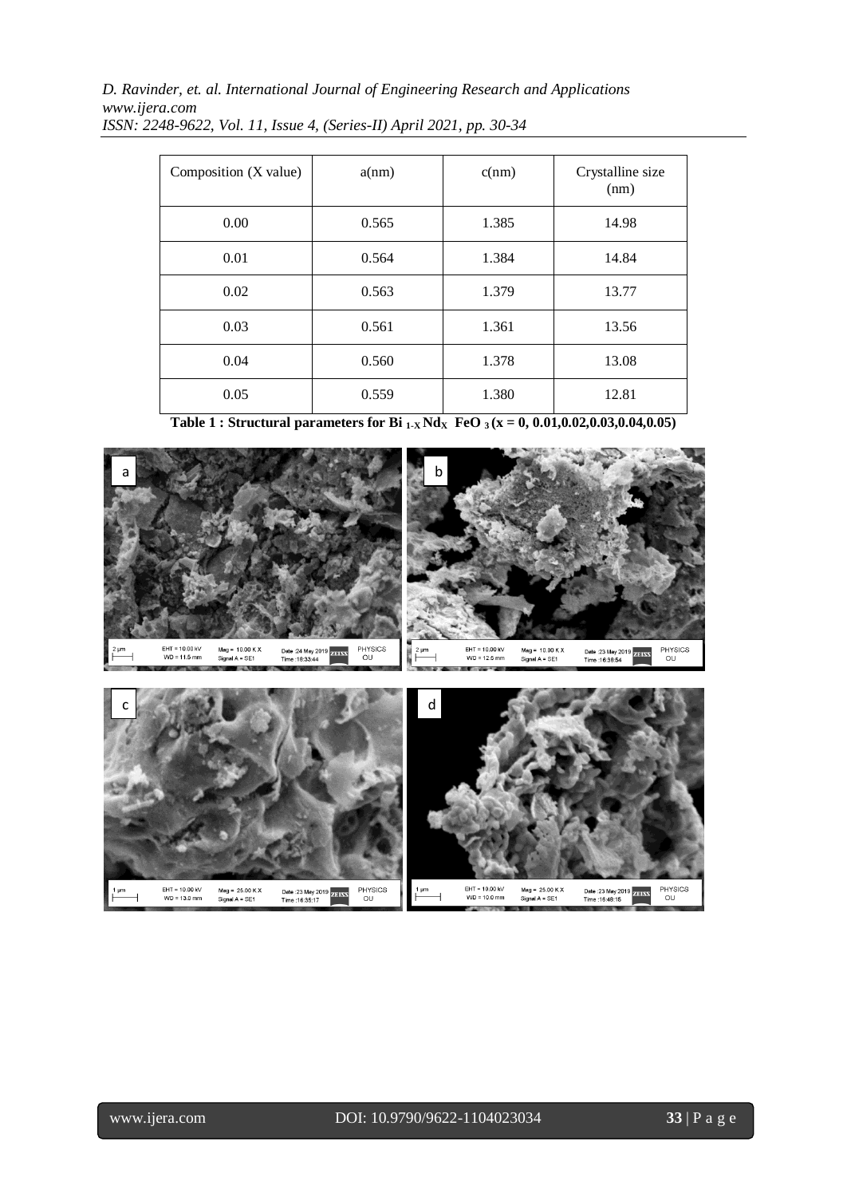*D. Ravinder, et. al. International Journal of Engineering Research and Applications www.ijera.com*

| Composition (X value) | a(nm) | c(nm) | Crystalline size<br>(nm) |
|-----------------------|-------|-------|--------------------------|
| 0.00                  | 0.565 | 1.385 | 14.98                    |
| 0.01                  | 0.564 | 1.384 | 14.84                    |
| 0.02                  | 0.563 | 1.379 | 13.77                    |
| 0.03                  | 0.561 | 1.361 | 13.56                    |
| 0.04                  | 0.560 | 1.378 | 13.08                    |
| 0.05                  | 0.559 | 1.380 | 12.81                    |

*ISSN: 2248-9622, Vol. 11, Issue 4, (Series-II) April 2021, pp. 30-34*

**Table 1 : Structural parameters for Bi**  $_{1-x}$  **Nd**<sub>X</sub> **FeO**  $_3$  (x = 0, 0.01,0.02,0.03,0.04,0.05)